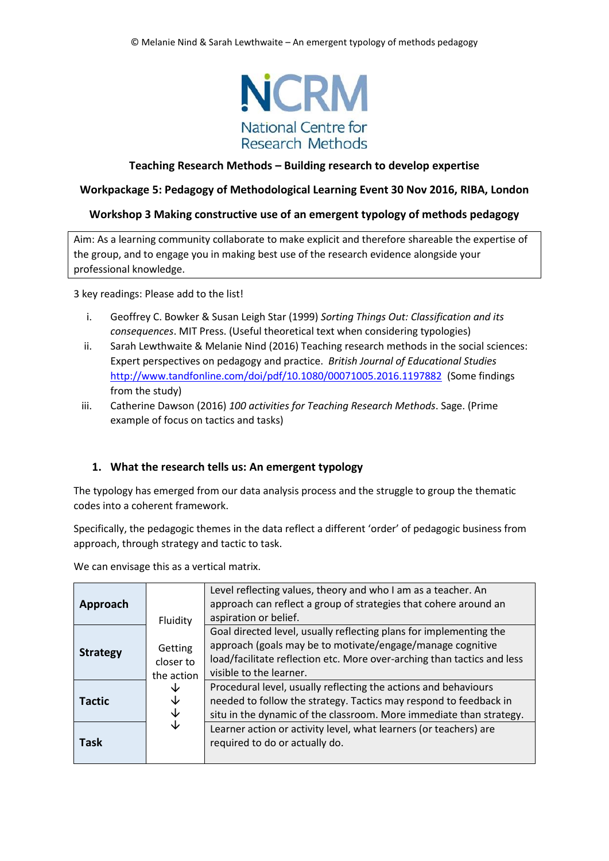

## **Teaching Research Methods – Building research to develop expertise**

#### **Workpackage 5: Pedagogy of Methodological Learning Event 30 Nov 2016, RIBA, London**

#### **Workshop 3 Making constructive use of an emergent typology of methods pedagogy**

Aim: As a learning community collaborate to make explicit and therefore shareable the expertise of the group, and to engage you in making best use of the research evidence alongside your professional knowledge.

3 key readings: Please add to the list!

- i. Geoffrey C. Bowker & Susan Leigh Star (1999) *Sorting Things Out: Classification and its consequences*. MIT Press. (Useful theoretical text when considering typologies)
- ii. Sarah Lewthwaite & Melanie Nind (2016) Teaching research methods in the social sciences: Expert perspectives on pedagogy and practice. *British Journal of Educational Studies*  <http://www.tandfonline.com/doi/pdf/10.1080/00071005.2016.1197882>(Some findings from the study)
- iii. Catherine Dawson (2016) *100 activities for Teaching Research Methods*. Sage. (Prime example of focus on tactics and tasks)

#### **1. What the research tells us: An emergent typology**

The typology has emerged from our data analysis process and the struggle to group the thematic codes into a coherent framework.

Specifically, the pedagogic themes in the data reflect a different 'order' of pedagogic business from approach, through strategy and tactic to task.

We can envisage this as a vertical matrix.

| Approach        |                                                | Level reflecting values, theory and who I am as a teacher. An<br>approach can reflect a group of strategies that cohere around an<br>aspiration or belief.                                                                             |
|-----------------|------------------------------------------------|----------------------------------------------------------------------------------------------------------------------------------------------------------------------------------------------------------------------------------------|
| <b>Strategy</b> | Fluidity<br>Getting<br>closer to<br>the action | Goal directed level, usually reflecting plans for implementing the<br>approach (goals may be to motivate/engage/manage cognitive<br>load/facilitate reflection etc. More over-arching than tactics and less<br>visible to the learner. |
| <b>Tactic</b>   | ↓<br>↓<br>↓                                    | Procedural level, usually reflecting the actions and behaviours<br>needed to follow the strategy. Tactics may respond to feedback in<br>situ in the dynamic of the classroom. More immediate than strategy.                            |
| <b>Task</b>     | $\overline{\mathsf{V}}$                        | Learner action or activity level, what learners (or teachers) are<br>required to do or actually do.                                                                                                                                    |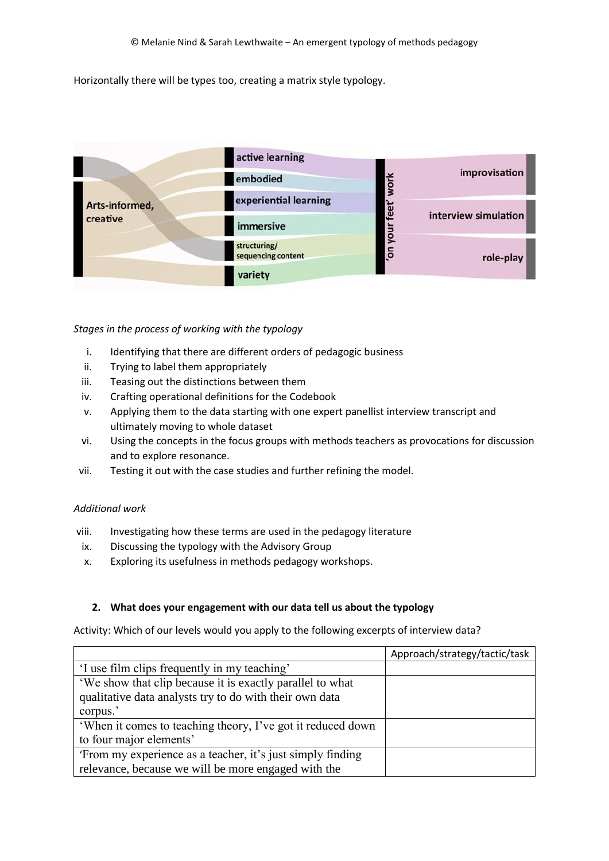Horizontally there will be types too, creating a matrix style typology.



#### *Stages in the process of working with the typology*

- i. Identifying that there are different orders of pedagogic business
- ii. Trying to label them appropriately
- iii. Teasing out the distinctions between them
- iv. Crafting operational definitions for the Codebook
- v. Applying them to the data starting with one expert panellist interview transcript and ultimately moving to whole dataset
- vi. Using the concepts in the focus groups with methods teachers as provocations for discussion and to explore resonance.
- vii. Testing it out with the case studies and further refining the model.

## *Additional work*

- viii. Investigating how these terms are used in the pedagogy literature
- ix. Discussing the typology with the Advisory Group
- x. Exploring its usefulness in methods pedagogy workshops.

# **2. What does your engagement with our data tell us about the typology**

Activity: Which of our levels would you apply to the following excerpts of interview data?

|                                                             | Approach/strategy/tactic/task |
|-------------------------------------------------------------|-------------------------------|
| 'I use film clips frequently in my teaching'                |                               |
| 'We show that clip because it is exactly parallel to what   |                               |
| qualitative data analysts try to do with their own data     |                               |
| corpus.'                                                    |                               |
| 'When it comes to teaching theory, I've got it reduced down |                               |
| to four major elements'                                     |                               |
| 'From my experience as a teacher, it's just simply finding  |                               |
| relevance, because we will be more engaged with the         |                               |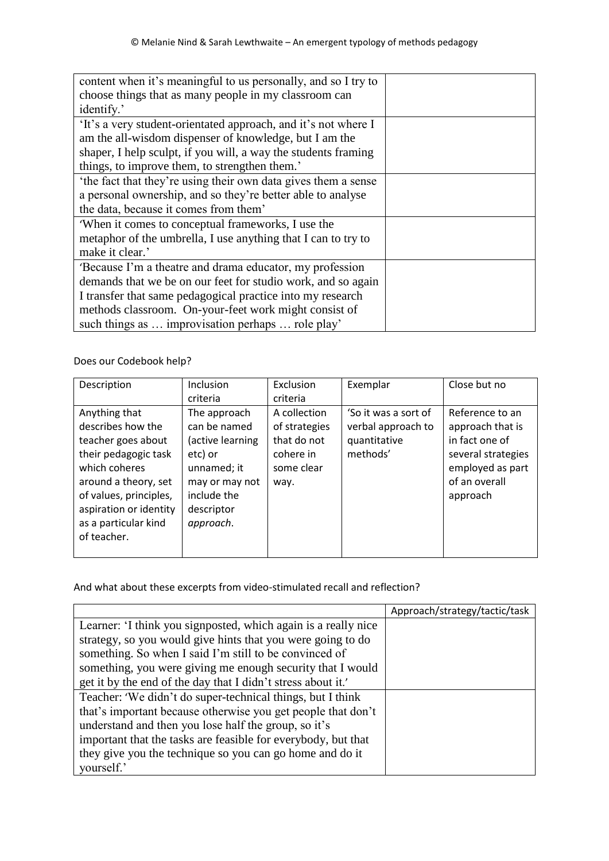| content when it's meaningful to us personally, and so I try to |  |
|----------------------------------------------------------------|--|
| choose things that as many people in my classroom can          |  |
| identify.'                                                     |  |
| 'It's a very student-orientated approach, and it's not where I |  |
| am the all-wisdom dispenser of knowledge, but I am the         |  |
| shaper, I help sculpt, if you will, a way the students framing |  |
| things, to improve them, to strengthen them.'                  |  |
| the fact that they're using their own data gives them a sense  |  |
| a personal ownership, and so they're better able to analyse    |  |
| the data, because it comes from them'                          |  |
| When it comes to conceptual frameworks, I use the              |  |
| metaphor of the umbrella, I use anything that I can to try to  |  |
| make it clear.'                                                |  |
| 'Because I'm a theatre and drama educator, my profession       |  |
| demands that we be on our feet for studio work, and so again   |  |
| I transfer that same pedagogical practice into my research     |  |
| methods classroom. On-your-feet work might consist of          |  |
| such things as  improvisation perhaps  role play'              |  |

Does our Codebook help?

| Description                                                                                                                                         | Inclusion                                                                                                               | Exclusion                                                                                   | Exemplar                                                               | Close but no                                                                                                                 |
|-----------------------------------------------------------------------------------------------------------------------------------------------------|-------------------------------------------------------------------------------------------------------------------------|---------------------------------------------------------------------------------------------|------------------------------------------------------------------------|------------------------------------------------------------------------------------------------------------------------------|
| Anything that<br>describes how the<br>teacher goes about<br>their pedagogic task<br>which coheres<br>around a theory, set<br>of values, principles, | criteria<br>The approach<br>can be named<br>(active learning<br>etc) or<br>unnamed; it<br>may or may not<br>include the | criteria<br>A collection<br>of strategies<br>that do not<br>cohere in<br>some clear<br>way. | 'So it was a sort of<br>verbal approach to<br>quantitative<br>methods' | Reference to an<br>approach that is<br>in fact one of<br>several strategies<br>employed as part<br>of an overall<br>approach |
| aspiration or identity<br>as a particular kind<br>of teacher.                                                                                       | descriptor<br>approach.                                                                                                 |                                                                                             |                                                                        |                                                                                                                              |

And what about these excerpts from video-stimulated recall and reflection?

|                                                                | Approach/strategy/tactic/task |
|----------------------------------------------------------------|-------------------------------|
| Learner: 'I think you signposted, which again is a really nice |                               |
| strategy, so you would give hints that you were going to do    |                               |
| something. So when I said I'm still to be convinced of         |                               |
| something, you were giving me enough security that I would     |                               |
| get it by the end of the day that I didn't stress about it.'   |                               |
| Teacher: 'We didn't do super-technical things, but I think     |                               |
| that's important because otherwise you get people that don't   |                               |
| understand and then you lose half the group, so it's           |                               |
| important that the tasks are feasible for everybody, but that  |                               |
| they give you the technique so you can go home and do it       |                               |
| yourself.'                                                     |                               |